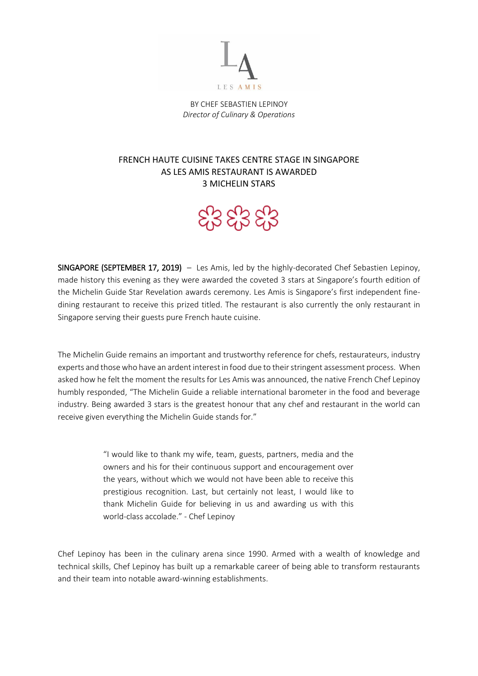

BY CHEF SEBASTIEN LEPINOY *Director of Culinary & Operations*

## FRENCH HAUTE CUISINE TAKES CENTRE STAGE IN SINGAPORE AS LES AMIS RESTAURANT IS AWARDED 3 MICHELIN STARS

## දි3 දි3 දි3

SINGAPORE (SEPTEMBER 17, 2019) – Les Amis, led by the highly-decorated Chef Sebastien Lepinoy, made history this evening as they were awarded the coveted 3 stars at Singapore's fourth edition of the Michelin Guide Star Revelation awards ceremony. Les Amis is Singapore's first independent finedining restaurant to receive this prized titled. The restaurant is also currently the only restaurant in Singapore serving their guests pure French haute cuisine.

The Michelin Guide remains an important and trustworthy reference for chefs, restaurateurs, industry experts and those who have an ardent interest in food due to their stringent assessment process. When asked how he felt the moment the results for Les Amis was announced, the native French Chef Lepinoy humbly responded, "The Michelin Guide a reliable international barometer in the food and beverage industry. Being awarded 3 stars is the greatest honour that any chef and restaurant in the world can receive given everything the Michelin Guide stands for."

> "I would like to thank my wife, team, guests, partners, media and the owners and his for their continuous support and encouragement over the years, without which we would not have been able to receive this prestigious recognition. Last, but certainly not least, I would like to thank Michelin Guide for believing in us and awarding us with this world-class accolade." - Chef Lepinoy

Chef Lepinoy has been in the culinary arena since 1990. Armed with a wealth of knowledge and technical skills, Chef Lepinoy has built up a remarkable career of being able to transform restaurants and their team into notable award-winning establishments.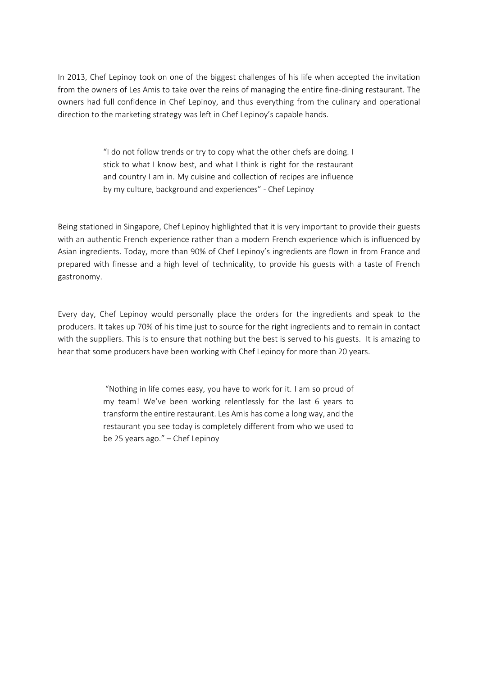In 2013, Chef Lepinoy took on one of the biggest challenges of his life when accepted the invitation from the owners of Les Amis to take over the reins of managing the entire fine-dining restaurant. The owners had full confidence in Chef Lepinoy, and thus everything from the culinary and operational direction to the marketing strategy was left in Chef Lepinoy's capable hands.

> "I do not follow trends or try to copy what the other chefs are doing. I stick to what I know best, and what I think is right for the restaurant and country I am in. My cuisine and collection of recipes are influence by my culture, background and experiences" - Chef Lepinoy

Being stationed in Singapore, Chef Lepinoy highlighted that it is very important to provide their guests with an authentic French experience rather than a modern French experience which is influenced by Asian ingredients. Today, more than 90% of Chef Lepinoy's ingredients are flown in from France and prepared with finesse and a high level of technicality, to provide his guests with a taste of French gastronomy.

Every day, Chef Lepinoy would personally place the orders for the ingredients and speak to the producers. It takes up 70% of his time just to source for the right ingredients and to remain in contact with the suppliers. This is to ensure that nothing but the best is served to his guests. It is amazing to hear that some producers have been working with Chef Lepinoy for more than 20 years.

> "Nothing in life comes easy, you have to work for it. I am so proud of my team! We've been working relentlessly for the last 6 years to transform the entire restaurant. Les Amis has come a long way, and the restaurant you see today is completely different from who we used to be 25 years ago." – Chef Lepinoy